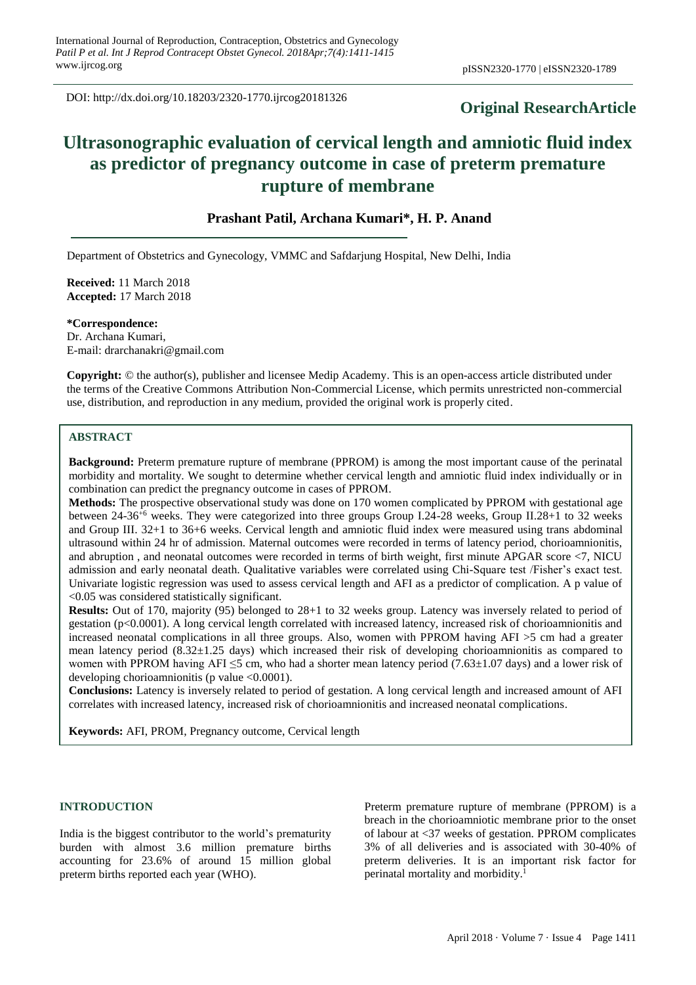DOI: http://dx.doi.org/10.18203/2320-1770.ijrcog20181326

## **Original ResearchArticle**

# **Ultrasonographic evaluation of cervical length and amniotic fluid index as predictor of pregnancy outcome in case of preterm premature rupture of membrane**

## **Prashant Patil, Archana Kumari\*, H. P. Anand**

Department of Obstetrics and Gynecology, VMMC and Safdarjung Hospital, New Delhi, India

**Received:** 11 March 2018 **Accepted:** 17 March 2018

**\*Correspondence:** Dr. Archana Kumari, E-mail: drarchanakri@gmail.com

**Copyright:** © the author(s), publisher and licensee Medip Academy. This is an open-access article distributed under the terms of the Creative Commons Attribution Non-Commercial License, which permits unrestricted non-commercial use, distribution, and reproduction in any medium, provided the original work is properly cited.

### **ABSTRACT**

**Background:** Preterm premature rupture of membrane (PPROM) is among the most important cause of the perinatal morbidity and mortality. We sought to determine whether cervical length and amniotic fluid index individually or in combination can predict the pregnancy outcome in cases of PPROM.

**Methods:** The prospective observational study was done on 170 women complicated by PPROM with gestational age between 24-36+6 weeks. They were categorized into three groups Group I.24-28 weeks, Group II.28+1 to 32 weeks and Group III. 32+1 to 36+6 weeks. Cervical length and amniotic fluid index were measured using trans abdominal ultrasound within 24 hr of admission. Maternal outcomes were recorded in terms of latency period, chorioamnionitis, and abruption , and neonatal outcomes were recorded in terms of birth weight, first minute APGAR score <7, NICU admission and early neonatal death. Qualitative variables were correlated using Chi-Square test /Fisher's exact test. Univariate logistic regression was used to assess cervical length and AFI as a predictor of complication. A p value of <0.05 was considered statistically significant.

**Results:** Out of 170, majority (95) belonged to 28+1 to 32 weeks group. Latency was inversely related to period of gestation ( $p<0.0001$ ). A long cervical length correlated with increased latency, increased risk of chorioamnionitis and increased neonatal complications in all three groups. Also, women with PPROM having AFI >5 cm had a greater mean latency period (8.32±1.25 days) which increased their risk of developing chorioamnionitis as compared to women with PPROM having AFI  $\leq$ 5 cm, who had a shorter mean latency period (7.63 $\pm$ 1.07 days) and a lower risk of developing chorioamnionitis (p value  $\leq 0.0001$ ).

**Conclusions:** Latency is inversely related to period of gestation. A long cervical length and increased amount of AFI correlates with increased latency, increased risk of chorioamnionitis and increased neonatal complications.

**Keywords:** AFI, PROM, Pregnancy outcome, Cervical length

#### **INTRODUCTION**

India is the biggest contributor to the world's prematurity burden with almost 3.6 million premature births accounting for 23.6% of around 15 million global preterm births reported each year (WHO).

Preterm premature rupture of membrane (PPROM) is a breach in the chorioamniotic membrane prior to the onset of labour at <37 weeks of gestation. PPROM complicates 3% of all deliveries and is associated with 30-40% of preterm deliveries. It is an important risk factor for perinatal mortality and morbidity. 1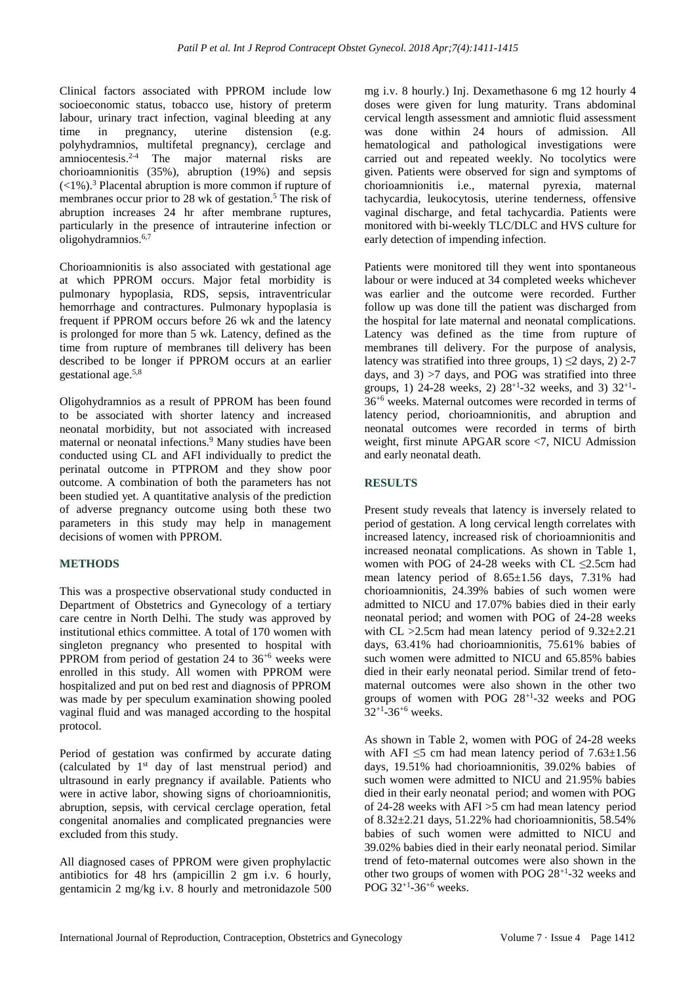Clinical factors associated with PPROM include low socioeconomic status, tobacco use, history of preterm labour, urinary tract infection, vaginal bleeding at any time in pregnancy, uterine distension (e.g. polyhydramnios, multifetal pregnancy), cerclage and amniocentesis. 2-4 The major maternal risks are chorioamnionitis (35%), abruption (19%) and sepsis (<1%). <sup>3</sup> Placental abruption is more common if rupture of membranes occur prior to 28 wk of gestation. <sup>5</sup> The risk of abruption increases 24 hr after membrane ruptures, particularly in the presence of intrauterine infection or oligohydramnios. 6,7

Chorioamnionitis is also associated with gestational age at which PPROM occurs. Major fetal morbidity is pulmonary hypoplasia, RDS, sepsis, intraventricular hemorrhage and contractures. Pulmonary hypoplasia is frequent if PPROM occurs before 26 wk and the latency is prolonged for more than 5 wk. Latency, defined as the time from rupture of membranes till delivery has been described to be longer if PPROM occurs at an earlier gestational age. 5,8

Oligohydramnios as a result of PPROM has been found to be associated with shorter latency and increased neonatal morbidity, but not associated with increased maternal or neonatal infections. <sup>9</sup> Many studies have been conducted using CL and AFI individually to predict the perinatal outcome in PTPROM and they show poor outcome. A combination of both the parameters has not been studied yet. A quantitative analysis of the prediction of adverse pregnancy outcome using both these two parameters in this study may help in management decisions of women with PPROM.

## **METHODS**

This was a prospective observational study conducted in Department of Obstetrics and Gynecology of a tertiary care centre in North Delhi. The study was approved by institutional ethics committee. A total of 170 women with singleton pregnancy who presented to hospital with PPROM from period of gestation 24 to  $36^{+6}$  weeks were enrolled in this study. All women with PPROM were hospitalized and put on bed rest and diagnosis of PPROM was made by per speculum examination showing pooled vaginal fluid and was managed according to the hospital protocol.

Period of gestation was confirmed by accurate dating (calculated by 1 st day of last menstrual period) and ultrasound in early pregnancy if available. Patients who were in active labor, showing signs of chorioamnionitis, abruption, sepsis, with cervical cerclage operation, fetal congenital anomalies and complicated pregnancies were excluded from this study.

All diagnosed cases of PPROM were given prophylactic antibiotics for 48 hrs (ampicillin 2 gm i.v. 6 hourly, gentamicin 2 mg/kg i.v. 8 hourly and metronidazole 500 mg i.v. 8 hourly.) Inj. Dexamethasone 6 mg 12 hourly 4 doses were given for lung maturity. Trans abdominal cervical length assessment and amniotic fluid assessment was done within 24 hours of admission. All hematological and pathological investigations were carried out and repeated weekly. No tocolytics were given. Patients were observed for sign and symptoms of chorioamnionitis i.e., maternal pyrexia, maternal tachycardia, leukocytosis, uterine tenderness, offensive vaginal discharge, and fetal tachycardia. Patients were monitored with bi-weekly TLC/DLC and HVS culture for early detection of impending infection.

Patients were monitored till they went into spontaneous labour or were induced at 34 completed weeks whichever was earlier and the outcome were recorded. Further follow up was done till the patient was discharged from the hospital for late maternal and neonatal complications. Latency was defined as the time from rupture of membranes till delivery. For the purpose of analysis, latency was stratified into three groups,  $1) \le 2$  days,  $2)$  2-7 days, and  $3$ )  $>7$  days, and POG was stratified into three groups, 1) 24-28 weeks, 2)  $28^{+1}$ -32 weeks, and 3)  $32^{+1}$ -36+6 weeks. Maternal outcomes were recorded in terms of latency period, chorioamnionitis, and abruption and neonatal outcomes were recorded in terms of birth weight, first minute APGAR score <7, NICU Admission and early neonatal death.

## **RESULTS**

Present study reveals that latency is inversely related to period of gestation. A long cervical length correlates with increased latency, increased risk of chorioamnionitis and increased neonatal complications. As shown in Table 1, women with POG of 24-28 weeks with CL ≤2.5cm had mean latency period of 8.65±1.56 days, 7.31% had chorioamnionitis, 24.39% babies of such women were admitted to NICU and 17.07% babies died in their early neonatal period; and women with POG of 24-28 weeks with CL  $>2.5$ cm had mean latency period of  $9.32 \pm 2.21$ days, 63.41% had chorioamnionitis, 75.61% babies of such women were admitted to NICU and 65.85% babies died in their early neonatal period. Similar trend of fetomaternal outcomes were also shown in the other two groups of women with POG 28+1 -32 weeks and POG  $32^{+1}$ -36<sup>+6</sup> weeks.

As shown in Table 2, women with POG of 24-28 weeks with AFI  $\leq$ 5 cm had mean latency period of 7.63 $\pm$ 1.56 days, 19.51% had chorioamnionitis, 39.02% babies of such women were admitted to NICU and 21.95% babies died in their early neonatal period; and women with POG of 24-28 weeks with AFI >5 cm had mean latency period of  $8.32\pm2.21$  days,  $51.22\%$  had chorioamnionitis,  $58.54\%$ babies of such women were admitted to NICU and 39.02% babies died in their early neonatal period. Similar trend of feto-maternal outcomes were also shown in the other two groups of women with POG 28+1 -32 weeks and POG 32<sup>+1</sup>-36<sup>+6</sup> weeks.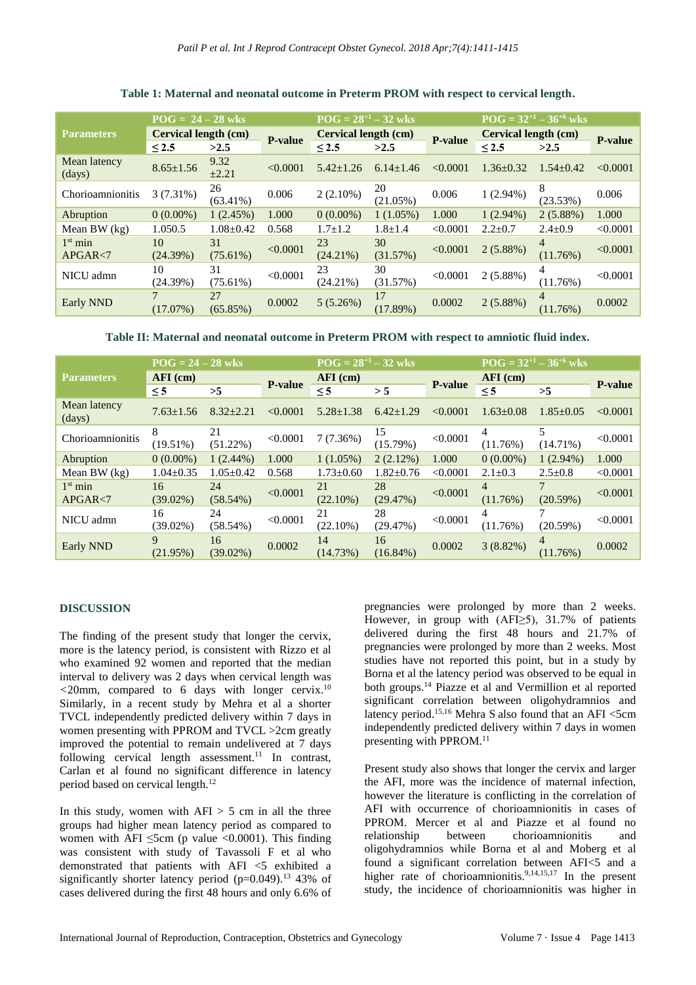|                        | $POG = 24 - 28$ wks         |                   |                | $POG = 28^{+1} - 32$ wks    |                   |                | $\overline{POG} = 32^{+1} - 36^{+6}$ wks |                            |                |
|------------------------|-----------------------------|-------------------|----------------|-----------------------------|-------------------|----------------|------------------------------------------|----------------------------|----------------|
| <b>Parameters</b>      | <b>Cervical length (cm)</b> |                   | <b>P-value</b> | <b>Cervical length (cm)</b> |                   | <b>P-value</b> | <b>Cervical length (cm)</b>              |                            | <b>P-value</b> |
|                        | ${}_{\leq 2.5}$             | >2.5              |                | < 2.5                       | >2.5              |                | $\leq 2.5$                               | >2.5                       |                |
| Mean latency<br>(days) | $8.65 \pm 1.56$             | 9.32<br>±2.21     | < 0.0001       | $5.42 + 1.26$               | $6.14 \pm 1.46$   | < 0.0001       | $1.36 \pm 0.32$                          | $1.54 \pm 0.42$            | < 0.0001       |
| Chorioamnionitis       | $3(7.31\%)$                 | 26<br>$(63.41\%)$ | 0.006          | $2(2.10\%)$                 | 20<br>$(21.05\%)$ | 0.006          | $1(2.94\%)$                              | 8<br>(23.53%)              | 0.006          |
| Abruption              | $0(0.00\%)$                 | 1(2.45%)          | 1.000          | $0(0.00\%)$                 | $1(1.05\%)$       | 1.000          | $1(2.94\%)$                              | $2(5.88\%)$                | 1.000          |
| Mean BW $(kg)$         | 1.050.5                     | $1.08 \pm 0.42$   | 0.568          | $1.7 \pm 1.2$               | $1.8 + 1.4$       | < 0.0001       | $2.2 \pm 0.7$                            | $2.4 \pm 0.9$              | < 0.0001       |
| $1st$ min<br>APGAR<7   | 10<br>(24.39%)              | 31<br>$(75.61\%)$ | < 0.0001       | 23<br>$(24.21\%)$           | 30<br>(31.57%)    | < 0.0001       | $2(5.88\%)$                              | $\overline{4}$<br>(11.76%) | < 0.0001       |
| NICU admn              | 10<br>(24.39%)              | 31<br>$(75.61\%)$ | < 0.0001       | 23<br>$(24.21\%)$           | 30<br>(31.57%)    | < 0.0001       | $2(5.88\%)$                              | 4<br>(11.76%)              | < 0.0001       |
| Early NND              | $(17.07\%)$                 | 27<br>$(65.85\%)$ | 0.0002         | 5(5.26%)                    | 17<br>$(17.89\%)$ | 0.0002         | 2(5.88%)                                 | $\overline{4}$<br>(11.76%) | 0.0002         |

## **Table 1: Maternal and neonatal outcome in Preterm PROM with respect to cervical length.**

**Table II: Maternal and neonatal outcome in Preterm PROM with respect to amniotic fluid index.**

|                        | $POG = 24 - 28$ wks |                   |                | $POG = 28^{+1} - 32$ wks |                   |                | $\overline{POG} = 32^{+1} - 36^{+6}$ wks |                   |                |
|------------------------|---------------------|-------------------|----------------|--------------------------|-------------------|----------------|------------------------------------------|-------------------|----------------|
| <b>Parameters</b>      | $AFI$ (cm)          |                   | <b>P-value</b> | $AFI$ (cm)               |                   | <b>P-value</b> | $AFI$ (cm)                               |                   | <b>P-value</b> |
|                        | $\leq$ 5            | >5                |                | $\leq$ 5                 | > 5               |                | $\leq$ 5                                 | >5                |                |
| Mean latency<br>(days) | $7.63 \pm 1.56$     | $8.32 + 2.21$     | < 0.0001       | $5.28 \pm 1.38$          | $6.42 + 1.29$     | < 0.0001       | $1.63 \pm 0.08$                          | $1.85 \pm 0.05$   | < 0.0001       |
| Chorioamnionitis       | 8<br>$(19.51\%)$    | 21<br>$(51.22\%)$ | < 0.0001       | 7(7.36%)                 | 15<br>(15.79%)    | < 0.0001       | 4<br>(11.76%)                            | 5.<br>$(14.71\%)$ | < 0.0001       |
| Abruption              | $0(0.00\%)$         | $1(2.44\%)$       | 1.000          | $1(1.05\%)$              | $2(2.12\%)$       | 1.000          | $0(0.00\%)$                              | $1(2.94\%)$       | 1.000          |
| Mean BW $(kg)$         | $1.04 \pm 0.35$     | $1.05 \pm 0.42$   | 0.568          | $1.73 \pm 0.60$          | $1.82 \pm 0.76$   | < 0.0001       | $2.1 \pm 0.3$                            | $2.5 \pm 0.8$     | < 0.0001       |
| $1st$ min<br>APGAR < 7 | 16<br>$(39.02\%)$   | 24<br>$(58.54\%)$ | < 0.0001       | 21<br>$(22.10\%)$        | 28<br>(29.47%)    | < 0.0001       | $\overline{4}$<br>(11.76%)               | 7<br>(20.59%)     | < 0.0001       |
| NICU admn              | 16<br>$(39.02\%)$   | 24<br>$(58.54\%)$ | < 0.0001       | 21<br>$(22.10\%)$        | 28<br>(29.47%)    | < 0.0001       | 4<br>(11.76%)                            | (20.59%)          | < 0.0001       |
| <b>Early NND</b>       | 9<br>(21.95%)       | 16<br>$(39.02\%)$ | 0.0002         | 14<br>(14.73%)           | 16<br>$(16.84\%)$ | 0.0002         | $3(8.82\%)$                              | 4<br>(11.76%)     | 0.0002         |

### **DISCUSSION**

The finding of the present study that longer the cervix, more is the latency period, is consistent with Rizzo et al who examined 92 women and reported that the median interval to delivery was 2 days when cervical length was *<*20mm, compared to 6 days with longer cervix.<sup>10</sup> Similarly, in a recent study by Mehra et al a shorter TVCL independently predicted delivery within 7 days in women presenting with PPROM and TVCL >2cm greatly improved the potential to remain undelivered at  $\frac{3}{7}$  days following cervical length assessment.<sup>11</sup> In contrast, Carlan et al found no significant difference in latency period based on cervical length.<sup>12</sup>

In this study, women with  $AFI > 5$  cm in all the three groups had higher mean latency period as compared to women with AFI  $\leq$ 5cm (p value  $\leq$ 0.0001). This finding was consistent with study of Tavassoli F et al who demonstrated that patients with AFI <5 exhibited a significantly shorter latency period (p=0.049).<sup>13</sup> 43% of cases delivered during the first 48 hours and only 6.6% of pregnancies were prolonged by more than 2 weeks. However, in group with (AFI≥5), 31.7% of patients delivered during the first 48 hours and 21.7% of pregnancies were prolonged by more than 2 weeks. Most studies have not reported this point, but in a study by Borna et al the latency period was observed to be equal in both groups.<sup>14</sup> Piazze et al and Vermillion et al reported significant correlation between oligohydramnios and latency period.<sup>15,16</sup> Mehra S also found that an AFI  $\leq$ 5cm independently predicted delivery within 7 days in women presenting with PPROM.<sup>11</sup>

Present study also shows that longer the cervix and larger the AFI, more was the incidence of maternal infection, however the literature is conflicting in the correlation of AFI with occurrence of chorioamnionitis in cases of PPROM. Mercer et al and Piazze et al found no relationship between chorioamnionitis and oligohydramnios while Borna et al and Moberg et al found a significant correlation between AFI<5 and a higher rate of chorioamnionitis.<sup>9,14,15,17</sup> In the present study, the incidence of chorioamnionitis was higher in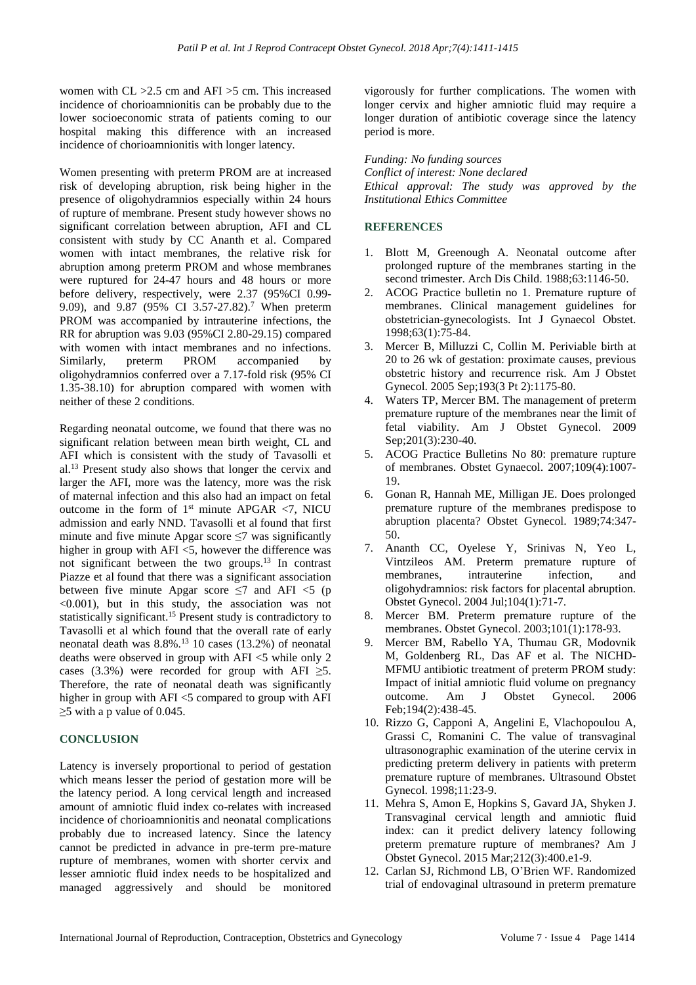women with CL >2.5 cm and AFI >5 cm. This increased incidence of chorioamnionitis can be probably due to the lower socioeconomic strata of patients coming to our hospital making this difference with an increased incidence of chorioamnionitis with longer latency.

Women presenting with preterm PROM are at increased risk of developing abruption, risk being higher in the presence of oligohydramnios especially within 24 hours of rupture of membrane. Present study however shows no significant correlation between abruption, AFI and CL consistent with study by CC Ananth et al. Compared women with intact membranes, the relative risk for abruption among preterm PROM and whose membranes were ruptured for 24-47 hours and 48 hours or more before delivery, respectively, were 2.37 (95%CI 0.99- 9.09), and 9.87 (95% CI 3.57-27.82).<sup>7</sup> When preterm PROM was accompanied by intrauterine infections, the RR for abruption was 9.03 (95%CI 2.80-29.15) compared with women with intact membranes and no infections. Similarly, preterm PROM accompanied by oligohydramnios conferred over a 7.17-fold risk (95% CI 1.35-38.10) for abruption compared with women with neither of these 2 conditions.

Regarding neonatal outcome, we found that there was no significant relation between mean birth weight, CL and AFI which is consistent with the study of Tavasolli et al.<sup>13</sup> Present study also shows that longer the cervix and larger the AFI, more was the latency, more was the risk of maternal infection and this also had an impact on fetal outcome in the form of  $1<sup>st</sup>$  minute APGAR <7, NICU admission and early NND. Tavasolli et al found that first minute and five minute Apgar score  $\leq$ 7 was significantly higher in group with  $\text{AFI} \leq 5$ , however the difference was not significant between the two groups.<sup>13</sup> In contrast Piazze et al found that there was a significant association between five minute Apgar score  $\leq$ 7 and AFI  $\leq$ 5 (p <0.001), but in this study, the association was not statistically significant.<sup>15</sup> Present study is contradictory to Tavasolli et al which found that the overall rate of early neonatal death was 8.8%.<sup>13</sup> 10 cases (13.2%) of neonatal deaths were observed in group with AFI <5 while only 2 cases (3.3%) were recorded for group with AFI  $\geq$ 5. Therefore, the rate of neonatal death was significantly higher in group with AFI <5 compared to group with AFI ≥5 with a p value of 0.045.

### **CONCLUSION**

Latency is inversely proportional to period of gestation which means lesser the period of gestation more will be the latency period. A long cervical length and increased amount of amniotic fluid index co-relates with increased incidence of chorioamnionitis and neonatal complications probably due to increased latency. Since the latency cannot be predicted in advance in pre-term pre-mature rupture of membranes, women with shorter cervix and lesser amniotic fluid index needs to be hospitalized and managed aggressively and should be monitored vigorously for further complications. The women with longer cervix and higher amniotic fluid may require a longer duration of antibiotic coverage since the latency period is more.

*Funding: No funding sources Conflict of interest: None declared*

*Ethical approval: The study was approved by the Institutional Ethics Committee*

## **REFERENCES**

- 1. Blott M, Greenough A. Neonatal outcome after prolonged rupture of the membranes starting in the second trimester. Arch Dis Child. 1988;63:1146-50.
- 2. ACOG Practice bulletin no 1. Premature rupture of membranes. Clinical management guidelines for obstetrician-gynecologists. Int J Gynaecol Obstet. 1998;63(1):75-84.
- 3. Mercer B, Milluzzi C, Collin M. Periviable birth at 20 to 26 wk of gestation: proximate causes, previous obstetric history and recurrence risk. Am J Obstet Gynecol. 2005 Sep;193(3 Pt 2):1175-80.
- 4. Waters TP, Mercer BM. The management of preterm premature rupture of the membranes near the limit of fetal viability. Am J Obstet Gynecol. 2009 Sep;201(3):230-40.
- 5. ACOG Practice Bulletins No 80: premature rupture of membranes. Obstet Gynaecol. 2007;109(4):1007- 19.
- 6. Gonan R, Hannah ME, Milligan JE. Does prolonged premature rupture of the membranes predispose to abruption placenta? Obstet Gynecol. 1989;74:347- 50.
- 7. Ananth CC, Oyelese Y, Srinivas N, Yeo L, Vintzileos AM. Preterm premature rupture of membranes, intrauterine infection, and oligohydramnios: risk factors for placental abruption. Obstet Gynecol. 2004 Jul;104(1):71-7.
- 8. Mercer BM. Preterm premature rupture of the membranes. Obstet Gynecol. 2003;101(1):178-93.
- 9. Mercer BM, Rabello YA, Thumau GR, Modovnik M, Goldenberg RL, Das AF et al. The NICHD-MFMU antibiotic treatment of preterm PROM study: Impact of initial amniotic fluid volume on pregnancy outcome. Am J Obstet Gynecol. 2006 Feb;194(2):438-45.
- 10. Rizzo G, Capponi A, Angelini E, Vlachopoulou A, Grassi C, Romanini C. The value of transvaginal ultrasonographic examination of the uterine cervix in predicting preterm delivery in patients with preterm premature rupture of membranes. Ultrasound Obstet Gynecol. 1998;11:23-9.
- 11. Mehra S, Amon E, Hopkins S, Gavard JA, Shyken J. Transvaginal cervical length and amniotic fluid index: can it predict delivery latency following preterm premature rupture of membranes? Am J Obstet Gynecol. 2015 Mar;212(3):400.e1-9.
- 12. Carlan SJ, Richmond LB, O'Brien WF. Randomized trial of endovaginal ultrasound in preterm premature